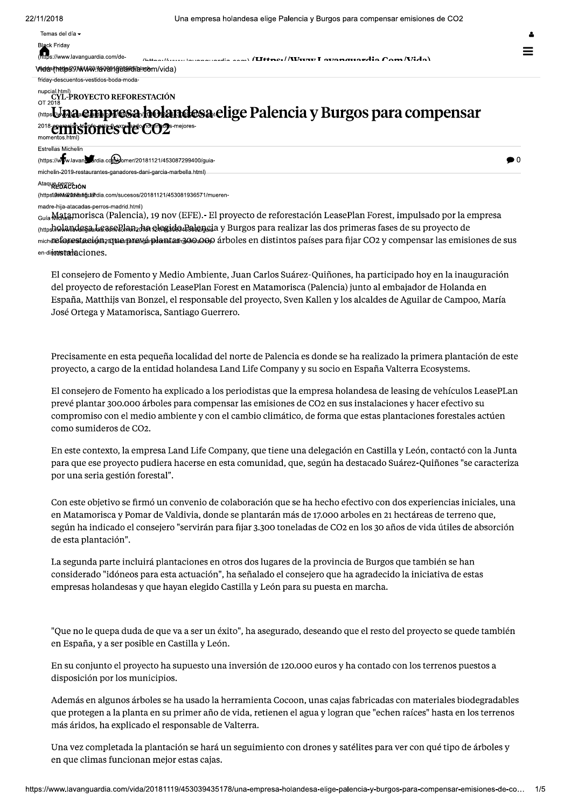$\bullet$ <sup>0</sup>

Temas del día -

ck Friday

s://www.lavanguardia.com/deanguardia aam) (Uttres//Wurur I avanguardia Cam/Vida)

Videa/thttp/89/MWW9/HavenigeBertiblecom/vida)

friday-descuentos-vestidos-boda-moda-

## nupcial.html)<br>CYL-PROYECTO REFORESTACIÓN<br>OT 2018 intos**i Jna empresa holandesa elige Palencia y Burgos para compensar errisiones de CO2**s-mejores-**Estrellas Michelin** (https://www.lavanestratia.com/womer/20181121/453087299400/guia-

michelin-2019-restaurantes-ganadores-dani-garcia-marbella.html)

## Ataque BERESIÓN

(https://www.udvantaliandia.com/sucesos/20181121/453081936571/mueren

madre-hija-atacadas-perros-madrid.html)

Guía Matamorisca (Palencia), 19 nov (EFE).- El proyecto de reforestación LeasePlan Forest, impulsado por la empresa <sub>(http</sub>holandesa Lease Planz ha elegide Pagide Lai v Burgos para realizar las dos primeras fases de su proyecto de michdle fester staging and stage the staging of a stage of the letter of the staging mental figure CO2 y compensar las emisiones de sus en-dimensionalectones.

El consejero de Fomento y Medio Ambiente, Juan Carlos Suárez-Quiñones, ha participado hoy en la inauguración del proyecto de reforestación LeasePlan Forest en Matamorisca (Palencia) junto al embajador de Holanda en España, Matthijs van Bonzel, el responsable del proyecto, Sven Kallen y los alcaldes de Aguilar de Campoo, María José Ortega y Matamorisca, Santiago Guerrero.

Precisamente en esta pequeña localidad del norte de Palencia es donde se ha realizado la primera plantación de este proyecto, a cargo de la entidad holandesa Land Life Company y su socio en España Valterra Ecosystems.

El consejero de Fomento ha explicado a los periodistas que la empresa holandesa de leasing de vehículos LeasePLan prevé plantar 300.000 árboles para compensar las emisiones de CO2 en sus instalaciones y hacer efectivo su compromiso con el medio ambiente y con el cambio climático, de forma que estas plantaciones forestales actúen como sumideros de CO2.

En este contexto, la empresa Land Life Company, que tiene una delegación en Castilla y León, contactó con la Junta para que ese proyecto pudiera hacerse en esta comunidad, que, según ha destacado Suárez-Quiñones "se caracteriza por una seria gestión forestal".

Con este objetivo se firmó un convenio de colaboración que se ha hecho efectivo con dos experiencias iniciales, una en Matamorisca y Pomar de Valdivia, donde se plantarán más de 17.000 arboles en 21 hectáreas de terreno que, según ha indicado el consejero "servirán para fijar 3.300 toneladas de CO2 en los 30 años de vida útiles de absorción de esta plantación".

La segunda parte incluirá plantaciones en otros dos lugares de la provincia de Burgos que también se han considerado "idóneos para esta actuación", ha señalado el consejero que ha agradecido la iniciativa de estas empresas holandesas y que hayan elegido Castilla y León para su puesta en marcha.

"Que no le quepa duda de que va a ser un éxito", ha asegurado, deseando que el resto del proyecto se quede también en España, y a ser posible en Castilla y León.

En su conjunto el proyecto ha supuesto una inversión de 120.000 euros y ha contado con los terrenos puestos a disposición por los municipios.

Además en algunos árboles se ha usado la herramienta Cocoon, unas cajas fabricadas con materiales biodegradables que protegen a la planta en su primer año de vida, retienen el agua y logran que "echen raíces" hasta en los terrenos más áridos, ha explicado el responsable de Valterra.

Una vez completada la plantación se hará un seguimiento con drones y satélites para ver con qué tipo de árboles y en que climas funcionan mejor estas cajas.